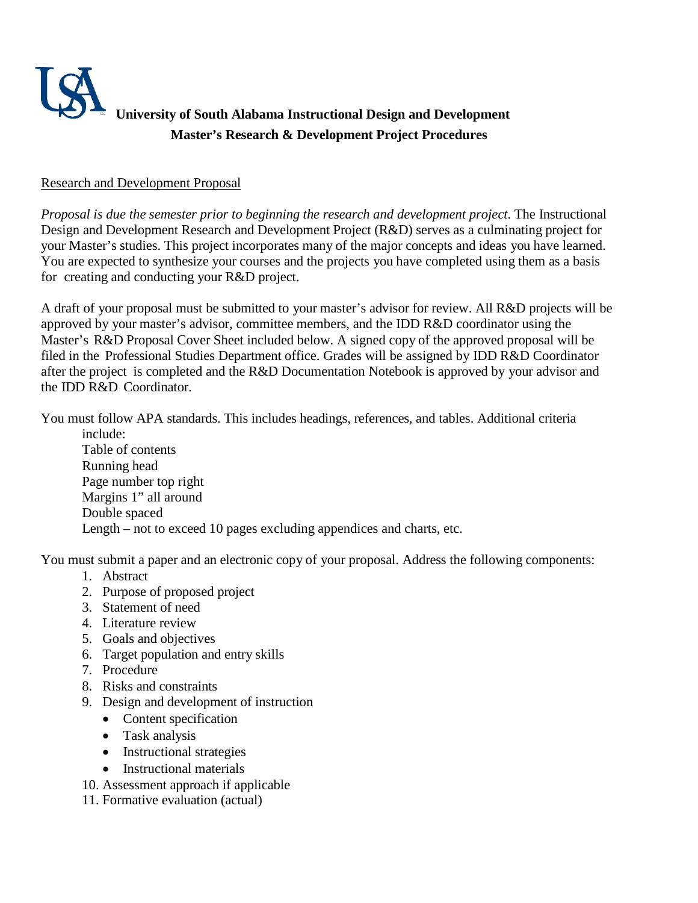

## **Research and Development Proposal**

 *Proposal is due the semester prior to beginning the research and development project*. The Instructional Design and Development Research and Development Project (R&D) serves as a culminating project for your Master's studies. This project incorporates many of the major concepts and ideas you have learned. You are expected to synthesize your courses and the projects you have completed using them as a basis for creating and conducting your R&D project.

 A draft of your proposal must be submitted to your master's advisor for review. All R&D projects will be approved by your master's advisor, committee members, and the IDD R&D coordinator using the Master's R&D Proposal Cover Sheet included below. A signed copy of the approved proposal will be filed in the Professional Studies Department office. Grades will be assigned by IDD R&D Coordinator after the project is completed and the R&D Documentation Notebook is approved by your advisor and the IDD R&D Coordinator.

 You must follow APA standards. This includes headings, references, and tables. Additional criteria include:

 include: Table of contents Running head Length – not to exceed 10 pages excluding appendices and charts, etc. Page number top right Margins 1" all around Double spaced

You must submit a paper and an electronic copy of your proposal. Address the following components:

- 1. Abstract
- 2. Purpose of proposed project
- 3. Statement of need
- 4. Literature review
- 5. Goals and objectives
- 6. Target population and entry skills
- 7. Procedure
- 8. Risks and constraints
- 9. Design and development of instruction
	- Content specification
	- Task analysis
	- Instructional strategies
	- Instructional materials
- 10. Assessment approach if applicable
- 11. Formative evaluation (actual)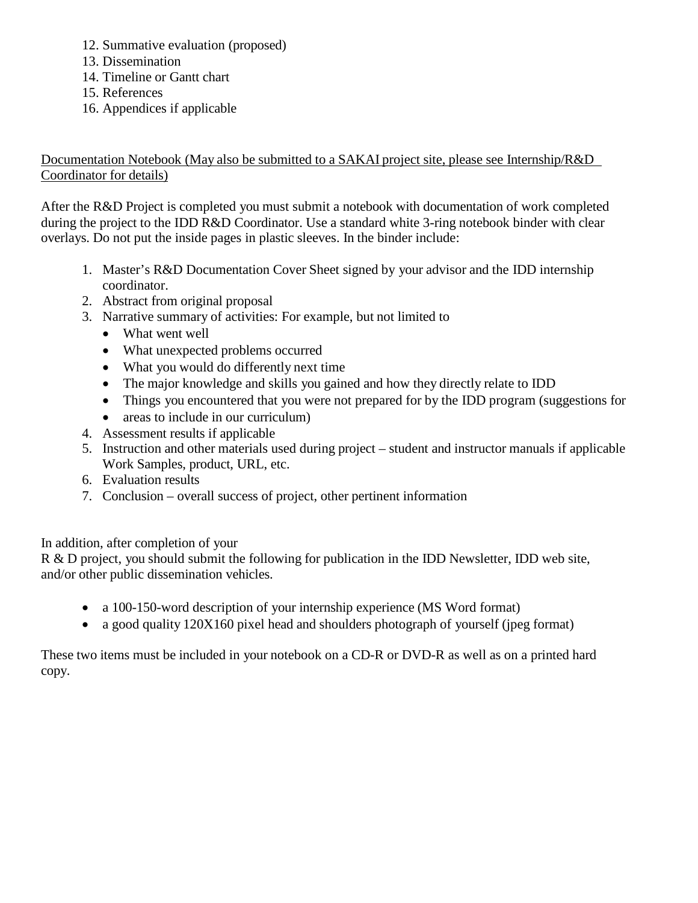- 12. Summative evaluation (proposed)
- 13. Dissemination
- 14. Timeline or Gantt chart
- 15. References
- 16. Appendices if applicable

 Documentation Notebook (May also be submitted to a SAKAI project site, please see Internship/R&D Coordinator for details)

 After the R&D Project is completed you must submit a notebook with documentation of work completed during the project to the IDD R&D Coordinator. Use a standard white 3-ring notebook binder with clear overlays. Do not put the inside pages in plastic sleeves. In the binder include:

- 1. Master's R&D Documentation Cover Sheet signed by your advisor and the IDD internship coordinator.
- 2. Abstract from original proposal
- 3. Narrative summary of activities: For example, but not limited to
	- What went well
	- What unexpected problems occurred
	- What you would do differently next time
	- The major knowledge and skills you gained and how they directly relate to IDD
	- Things you encountered that you were not prepared for by the IDD program (suggestions for
	- areas to include in our curriculum)
- 4. Assessment results if applicable
- 5. Instruction and other materials used during project student and instructor manuals if applicable Work Samples, product, URL, etc.
- 6. Evaluation results
- 7. Conclusion overall success of project, other pertinent information

In addition, after completion of your

R & D project, you should submit the following for publication in the IDD Newsletter, IDD web site, and/or other public dissemination vehicles.

- a 100-150-word description of your internship experience (MS Word format)
- a good quality 120X160 pixel head and shoulders photograph of yourself (jpeg format)

 These two items must be included in your notebook on a CD-R or DVD-R as well as on a printed hard copy.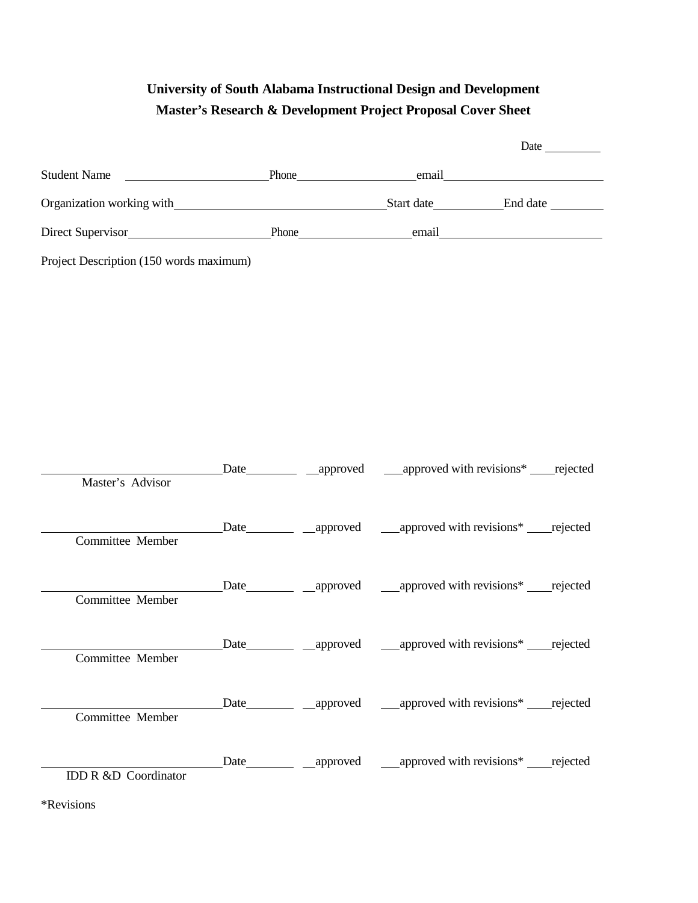## **University of South Alabama Instructional Design and Development Master's Research & Development Project Proposal Cover Sheet**

| Student Name <u>enail</u> Phone email email |       |  |                                                                            |
|---------------------------------------------|-------|--|----------------------------------------------------------------------------|
|                                             |       |  |                                                                            |
|                                             |       |  |                                                                            |
| Project Description (150 words maximum)     |       |  |                                                                            |
|                                             |       |  |                                                                            |
|                                             |       |  |                                                                            |
|                                             |       |  |                                                                            |
|                                             |       |  |                                                                            |
|                                             |       |  |                                                                            |
|                                             |       |  |                                                                            |
|                                             |       |  | Date __________ ___ approved _____ approved with revisions* _____ rejected |
| Master's Advisor                            |       |  |                                                                            |
|                                             |       |  | Date _________ ___ approved _____ approved with revisions* _____ rejected  |
| Committee Member                            |       |  |                                                                            |
|                                             |       |  | Date__________ __approved ____approved with revisions* _____rejected       |
| Committee Member                            |       |  |                                                                            |
|                                             | Date_ |  |                                                                            |
| Committee Member                            |       |  |                                                                            |
|                                             |       |  | Date___________ __approved _____approved with revisions* _____rejected     |
| Committee Member                            |       |  |                                                                            |
|                                             |       |  | Date ________ ___ approved _____ approved with revisions* ______ rejected  |
| <b>IDD R &amp;D Coordinator</b>             |       |  |                                                                            |

\*Revisions